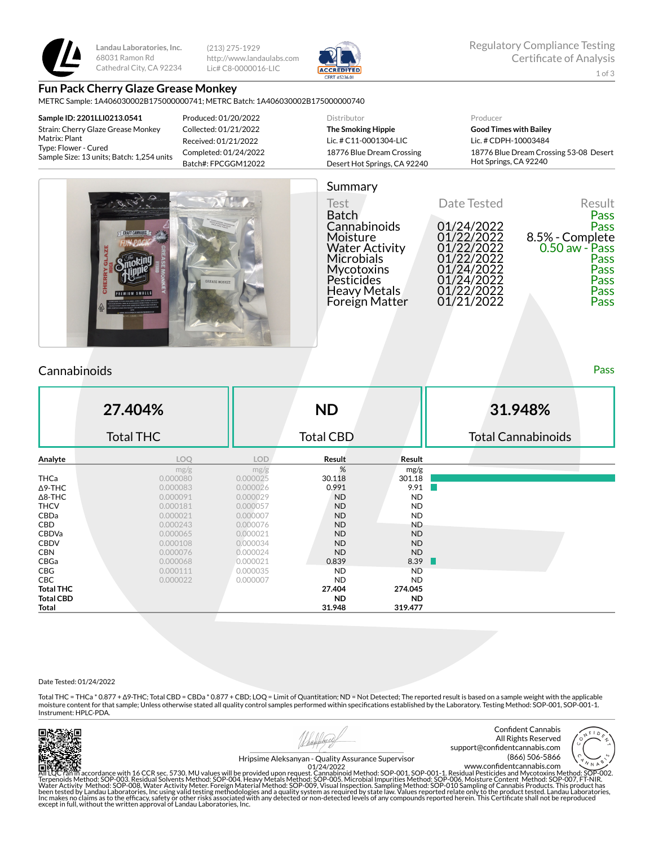

**Landau Laboratories, Inc.** 68031 Ramon Rd Cathedral City, CA 92234 (213) 275-1929 http://www.landaulabs.com Lic# C8-0000016-LIC



# **Fun Pack Cherry Glaze Grease Monkey**

METRC Sample: 1A406030002B175000000741; METRC Batch: 1A406030002B175000000740

| Sample ID: 2201LLI0213.0541                                       | Produced: 01/20/2022  | Distributor                  | Producer                               |
|-------------------------------------------------------------------|-----------------------|------------------------------|----------------------------------------|
| Strain: Cherry Glaze Grease Monkey                                | Collected: 01/21/2022 | The Smoking Hippie           | <b>Good Times with Bailey</b>          |
| Matrix: Plant                                                     | Received: 01/21/2022  | Lic. # C11-0001304-LIC       | Lic. # CDPH-10003484                   |
| Type: Flower - Cured<br>Sample Size: 13 units; Batch: 1,254 units | Completed: 01/24/2022 | 18776 Blue Dream Crossing    | 18776 Blue Dream Crossing 53-08 Desert |
|                                                                   | Batch#: FPCGGM12022   | Desert Hot Springs, CA 92240 | Hot Springs, CA 92240                  |





## **Cannabinoids** Pass **Pass**

**27.404%** Total THC **ND** Total CBD **31.948%** Total Cannabinoids **Analyte LOQ LOD Result Result** mg/g  $mg/g$  mg/g  $\%$  mg/g **THCa** 0.000080 0.000025 3**0.118 301.18** 301.18  $\Delta$ 9-THC 0.0000083 0.0000026 0.991 9.91 Δ8-THC 0.000091 0.000029 ND ND **THCV 0.000181 0.000057 ND ND** CBDa 0.000021 0.000007 ND ND CBD 0.000243 0.000076 ND ND CBDVa 0.000065 0.000021 ND ND CBDV 0.000108 0.000034 ND ND **CBN 0.000076 0.000024 ND ND** CBGa 0.000068 0.000021 0.839 8.39 **CBG** 0.000111 0.0000035 ND ND CBC 0.000022 0.000007 ND ND **Total THC 27.404 274.045 Total CBD ND ND Total 31.948 319.477**

#### Date Tested: 01/24/2022

Total THC = THCa \* 0.877 + ∆9-THC; Total CBD = CBDa \* 0.877 + CBD; LOQ = Limit of Quantitation; ND = Not Detected; The reported result is based on a sample weight with the applicable moisture content for that sample; Unless otherwise stated all quality control samples performed within specifications established by the Laboratory. Testing Method: SOP-001, SOP-001-1. Instrument: HPLC-PDA.



Confident Cannabis All Rights Reserved support@confidentcannabis.com (866) 506-5866



Hripsime Aleksanyan - Quality Assurance Supervisor

All LQC ran in accordance with 16 CCR sec. 5730. MU values will be provided upon request. Cannabinoid Method: SOP-001, SOP-001-1. Residual Pesticides and Mycotoxins Method: SOP-002.<br>Terpenoids Method: SOP-003. Residual Sol www.confidentcannabis.com 01/24/2022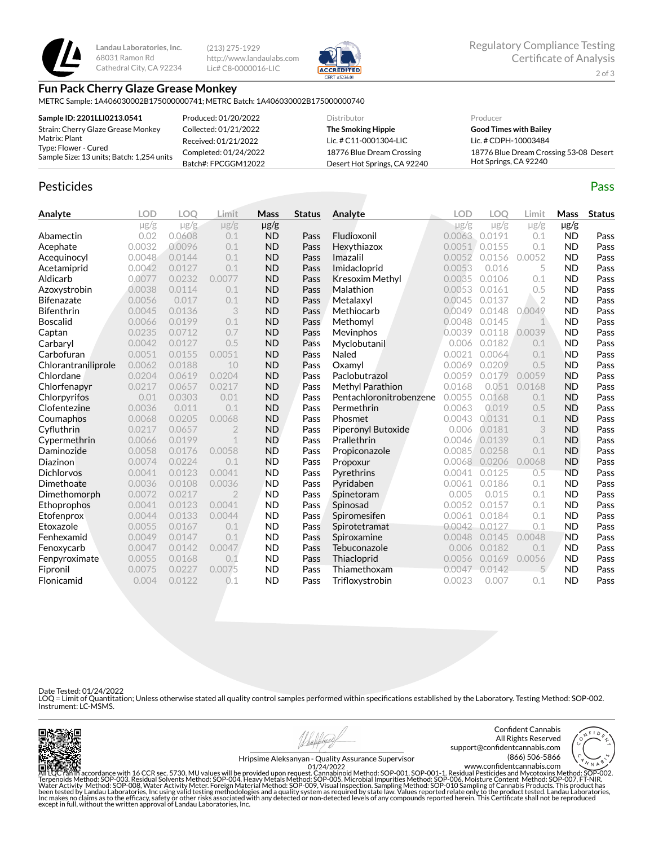

**Landau Laboratories, Inc.** 68031 Ramon Rd Cathedral City, CA 92234

(213) 275-1929 http://www.landaulabs.com Lic# C8-0000016-LIC



#### **Fun Pack Cherry Glaze Grease Monkey**

METRC Sample: 1A406030002B175000000741; METRC Batch: 1A406030002B175000000740

| Sample ID: 2201LLI0213.0541                                                        | Produced: 01/20/2022  | Distributor                  | Producer                               |
|------------------------------------------------------------------------------------|-----------------------|------------------------------|----------------------------------------|
| Strain: Cherry Glaze Grease Monkey                                                 | Collected: 01/21/2022 | The Smoking Hippie           | <b>Good Times with Bailey</b>          |
| Matrix: Plant<br>Type: Flower - Cured<br>Sample Size: 13 units; Batch: 1,254 units | Received: 01/21/2022  | Lic. # C11-0001304-LIC       | Lic. # CDPH-10003484                   |
|                                                                                    | Completed: 01/24/2022 | 18776 Blue Dream Crossing    | 18776 Blue Dream Crossing 53-08 Desert |
|                                                                                    | Batch#: FPCGGM12022   | Desert Hot Springs, CA 92240 | Hot Springs, CA 92240                  |

## Pesticides **Passage Contract Contract Contract Contract Contract Contract Contract Contract Contract Contract Contract Contract Contract Contract Contract Contract Contract Contract Contract Contract Contract Contract Cont**

**Analyte LOD LOQ Limit Mass Status**  $\mu$ g/g  $\mu$ g/g  $\mu$ g/g  $\mu$ g/g Abamectin 0.02 0.0608 0.1 ND Pass Acephate 0.0032 0.0096 0.1 ND Pass Acequinocyl 0.0048 0.0144 0.1 ND Pass Acetamiprid 0.0042 0.0127 0.1 ND Pass Aldicarb 0.0077 0.0232 0.0077 ND Pass Azoxystrobin 0.0038 0.0114 0.1 ND Pass **Bifenazate** 0.0056 0.017 0.1 **ND Pass** Bifenthrin 0.0045 0.0136 3 ND Pass Boscalid 0.0066 0.0199 0.1 ND Pass **Captan 19 0.0235 0.0712 0.7 ND Pass** Carbaryl 0.0042 0.0127 0.5 ND Pass **Carbofuran 1888** 0.0051 0.0155 0.0051 **ND Pass**<br> **Chlorantraniliprole** 0.0062 0.0188 10 **ND Pass** Chlorantraniliprole 0.0062 0.0188 10 ND Pass Chlordane 0.0204 0.0619 0.0204 ND Pass Chlorfenapyr 0.0217 0.0657 0.0217 ND Pass Chlorpyrifos 0.01 0.0303 0.01 ND Pass **Clofentezine** 0.0036 0.011 0.1 **ND Pass** Coumaphos 0.0068 0.0205 0.0068 ND Pass Cyuthrin 0.0217 0.0657 2 ND Pass Cypermethrin 0.0066 0.0199 1 ND Pass Daminozide 0.0058 0.0176 0.0058 ND Pass **Diazinon** 0.0074 0.0224 0.1 **ND Pass** Dichlorvos 0.0041 0.0123 0.0041 ND Pass Dimethoate 0.0036 0.0108 0.0036 ND Pass **Dimethomorph** 0.0072 0.0217 2 **ND Pass** Ethoprophos 0.0041 0.0123 0.0041 ND Pass Etofenprox 0.0044 0.0133 0.0044 ND Pass **Etoxazole** 0.0055 0.0167 0.1 **ND Pass**<br> **Fenhexamid** 0.0049 0.0147 0.1 **ND Pass Fenhexamid** 0.0049 0.0147 0.1 **ND Pass** Fenoxycarb 0.0047 0.0142 0.0047 ND Pass Fenpyroximate 0.0055 0.0168 0.1 ND Pass Fipronil 0.0075 0.0227 0.0075 ND Pass Flonicamid 0.004 0.0122 0.1 ND Pass **Analyte LOD LOQ Limit Mass Status**  $\mu$ g/g  $\mu$ g/g  $\mu$ g/g  $\mu$ g/g Fludioxonil 0.0063 0.0191 0.1 ND Pass Hexythiazox 0.0051 0.0155 0.1 ND Pass **Imazalil 1988** 0.0052 0.0156 0.0052 **ND Pass Imidacloprid** 0.0053 0.016 5 **ND Pass Kresoxim Methyl** 0.0035 0.0106 0.1 **ND Pass Malathion** 0.0053 0.0161 0.5 **ND Pass Metalaxyl 1988** 0.00045 0.0137 2 **ND Pass** Methiocarb 0.0049 0.0148 0.0049 ND Pass **Methomyl** 0.0048 0.0145 1 **ND Pass** Mevinphos 0.0039 0.0118 0.0039 ND Pass Myclobutanil 0.006 0.0182 0.1 ND Pass Naled 0.0021 0.0064 0.1 ND Pass **Oxamyl** 0.0069 0.0209 0.5 **ND Pass** Paclobutrazol 0.0059 0.0179 0.0059 ND Pass **Methyl Parathion** 0.0168 0.051 0.0168 **ND Pass** Pentachloronitrobenzene 0.0055 0.0168 0.1 ND Pass **Permethrin 1992 0.0063 0.019 0.5 ND Pass Phosmet** 0.0043 0.0131 0.1 **ND Pass** Piperonyl Butoxide 0.006 0.0181 3 ND Pass **Prallethrin** 0.0046 0.0139 0.1 **ND Pass** Propiconazole 0.0085 0.0258 0.1 ND Pass Propoxur 0.0068 0.0206 0.0068 ND Pass **Pyrethrins** 0.0041 0.0125 0.5 **ND Pass** Pyridaben 0.0061 0.0186 0.1 ND Pass **Spinetoram 0.005 0.015 0.1 ND Pass** Spinosad 0.0052 0.0157 0.1 ND Pass **Spiromesifen** 0.0061 0.0184 0.1 **ND Pass** Spirotetramat 0.0042 0.0127 0.1 ND Pass **Spiroxamine** 0.0048 0.0145 0.0048 **ND Pass** Tebuconazole 0.006 0.0182 0.1 ND Pass **Thiacloprid** 0.0056 0.0169 0.0056 **ND Pass** Thiamethoxam 0.0047 0.0142 5 ND Pass Trifloxystrobin 0.0023 0.007 0.1 ND Pass

Date Tested: 01/24/2022

LOQ = Limit of Quantitation; Unless otherwise stated all quality control samples performed within specifications established by the Laboratory. Testing Method: SOP-002. Instrument: LC-MSMS.







Hripsime Aleksanyan - Quality Assurance Supervisor 01/24/2022

All'LOC Fan'in accordance with 16 CCR sec. 5730. MU values will be provided upon request. Cannabinoid Method: SOP-001, SOP-001-1. Residual Pesticides and Mycotoxins Method: SOP-002.<br>Terpenoids Method: SOP-003. Residual Sol except in full, without the written approval of Landau Laboratories, Inc. www.confidentcannabis.com